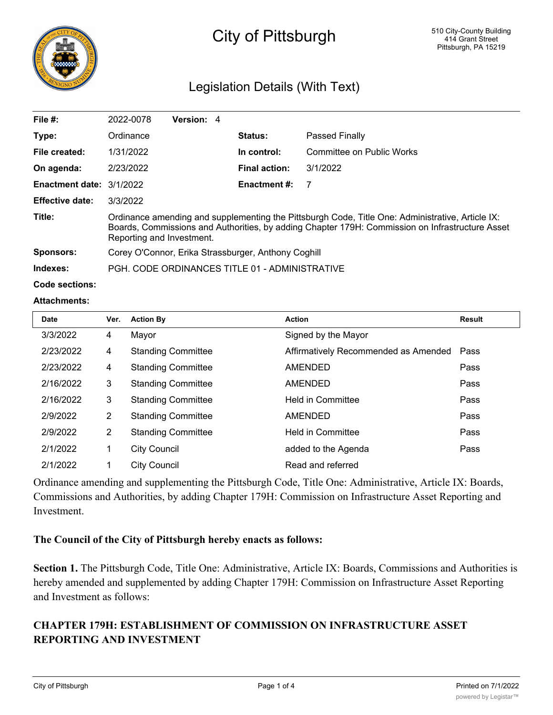

# City of Pittsburgh

# Legislation Details (With Text)

| File $#$ :                      | 2022-0078                                                                                                                                                                                                                        | Version: 4 |  |                      |                           |  |  |
|---------------------------------|----------------------------------------------------------------------------------------------------------------------------------------------------------------------------------------------------------------------------------|------------|--|----------------------|---------------------------|--|--|
| Type:                           | Ordinance                                                                                                                                                                                                                        |            |  | <b>Status:</b>       | <b>Passed Finally</b>     |  |  |
| File created:                   | 1/31/2022                                                                                                                                                                                                                        |            |  | In control:          | Committee on Public Works |  |  |
| On agenda:                      | 2/23/2022                                                                                                                                                                                                                        |            |  | <b>Final action:</b> | 3/1/2022                  |  |  |
| <b>Enactment date: 3/1/2022</b> |                                                                                                                                                                                                                                  |            |  | <b>Enactment #:</b>  |                           |  |  |
| <b>Effective date:</b>          | 3/3/2022                                                                                                                                                                                                                         |            |  |                      |                           |  |  |
| Title:                          | Ordinance amending and supplementing the Pittsburgh Code, Title One: Administrative, Article IX:<br>Boards, Commissions and Authorities, by adding Chapter 179H: Commission on Infrastructure Asset<br>Reporting and Investment. |            |  |                      |                           |  |  |
| Sponsors:                       | Corey O'Connor, Erika Strassburger, Anthony Coghill                                                                                                                                                                              |            |  |                      |                           |  |  |
| Indexes:                        | PGH, CODE ORDINANCES TITLE 01 - ADMINISTRATIVE                                                                                                                                                                                   |            |  |                      |                           |  |  |

**Code sections:**

#### **Attachments:**

| <b>Date</b> | Ver. | <b>Action By</b>          | <b>Action</b>                        | <b>Result</b> |
|-------------|------|---------------------------|--------------------------------------|---------------|
| 3/3/2022    | 4    | Mayor                     | Signed by the Mayor                  |               |
| 2/23/2022   | 4    | <b>Standing Committee</b> | Affirmatively Recommended as Amended | Pass          |
| 2/23/2022   | 4    | <b>Standing Committee</b> | <b>AMENDED</b>                       | Pass          |
| 2/16/2022   | 3    | <b>Standing Committee</b> | <b>AMENDED</b>                       | Pass          |
| 2/16/2022   | 3    | <b>Standing Committee</b> | <b>Held in Committee</b>             | Pass          |
| 2/9/2022    | 2    | <b>Standing Committee</b> | <b>AMENDED</b>                       | Pass          |
| 2/9/2022    | 2    | <b>Standing Committee</b> | <b>Held in Committee</b>             | Pass          |
| 2/1/2022    | 1    | <b>City Council</b>       | added to the Agenda                  | Pass          |
| 2/1/2022    | 4    | <b>City Council</b>       | Read and referred                    |               |

Ordinance amending and supplementing the Pittsburgh Code, Title One: Administrative, Article IX: Boards, Commissions and Authorities, by adding Chapter 179H: Commission on Infrastructure Asset Reporting and Investment.

#### **The Council of the City of Pittsburgh hereby enacts as follows:**

**Section 1.** The Pittsburgh Code, Title One: Administrative, Article IX: Boards, Commissions and Authorities is hereby amended and supplemented by adding Chapter 179H: Commission on Infrastructure Asset Reporting and Investment as follows:

# **CHAPTER 179H: ESTABLISHMENT OF COMMISSION ON INFRASTRUCTURE ASSET REPORTING AND INVESTMENT**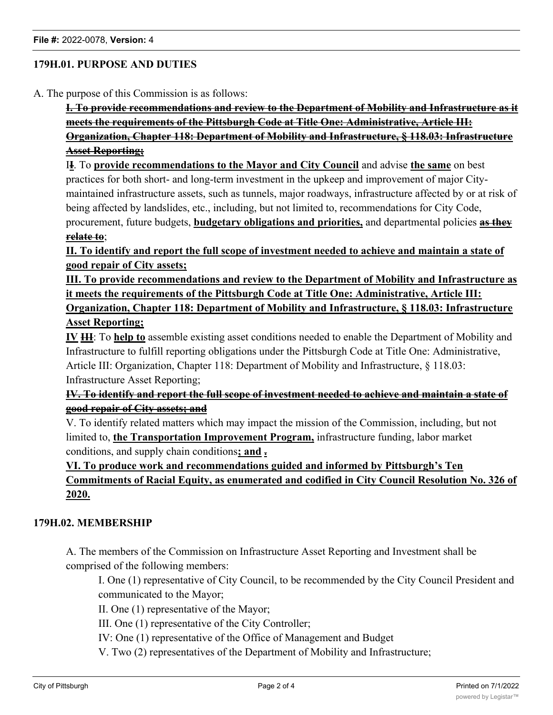# **179H.01. PURPOSE AND DUTIES**

A. The purpose of this Commission is as follows:

**I. To provide recommendations and review to the Department of Mobility and Infrastructure as it meets the requirements of the Pittsburgh Code at Title One: Administrative, Article III: Organization, Chapter 118: Department of Mobility and Infrastructure, § 118.03: Infrastructure Asset Reporting;**

I**I**. To **provide recommendations to the Mayor and City Council** and advise **the same** on best practices for both short- and long-term investment in the upkeep and improvement of major Citymaintained infrastructure assets, such as tunnels, major roadways, infrastructure affected by or at risk of being affected by landslides, etc., including, but not limited to, recommendations for City Code, procurement, future budgets, **budgetary obligations and priorities,** and departmental policies **as they**

# **relate to**;

**II. To identify and report the full scope of investment needed to achieve and maintain a state of good repair of City assets;**

**III. To provide recommendations and review to the Department of Mobility and Infrastructure as it meets the requirements of the Pittsburgh Code at Title One: Administrative, Article III: Organization, Chapter 118: Department of Mobility and Infrastructure, § 118.03: Infrastructure**

# **Asset Reporting;**

**IV III**: To **help to** assemble existing asset conditions needed to enable the Department of Mobility and Infrastructure to fulfill reporting obligations under the Pittsburgh Code at Title One: Administrative, Article III: Organization, Chapter 118: Department of Mobility and Infrastructure, § 118.03: Infrastructure Asset Reporting;

# **IV. To identify and report the full scope of investment needed to achieve and maintain a state of good repair of City assets; and**

V. To identify related matters which may impact the mission of the Commission, including, but not limited to, **the Transportation Improvement Program,** infrastructure funding, labor market conditions, and supply chain conditions**; and .**

# **VI. To produce work and recommendations guided and informed by Pittsburgh's Ten Commitments of Racial Equity, as enumerated and codified in City Council Resolution No. 326 of 2020.**

#### **179H.02. MEMBERSHIP**

A. The members of the Commission on Infrastructure Asset Reporting and Investment shall be comprised of the following members:

I. One (1) representative of City Council, to be recommended by the City Council President and communicated to the Mayor;

II. One (1) representative of the Mayor;

III. One (1) representative of the City Controller;

IV: One (1) representative of the Office of Management and Budget

V. Two (2) representatives of the Department of Mobility and Infrastructure;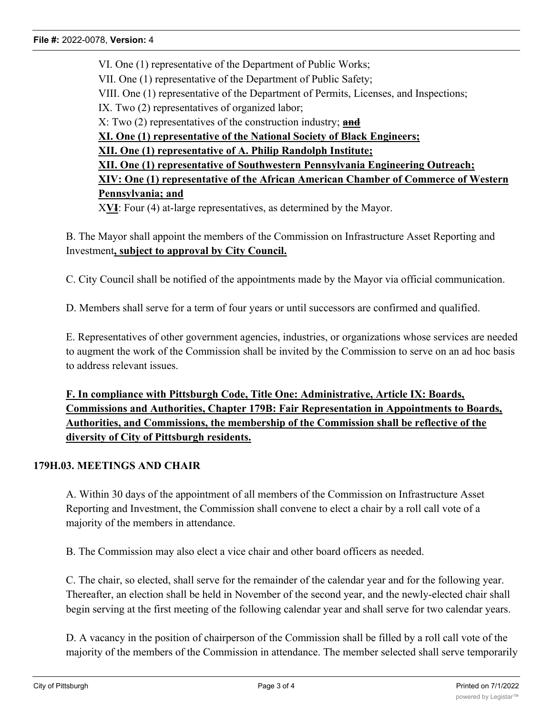VI. One (1) representative of the Department of Public Works; VII. One (1) representative of the Department of Public Safety; VIII. One (1) representative of the Department of Permits, Licenses, and Inspections; IX. Two (2) representatives of organized labor; X: Two (2) representatives of the construction industry; **and XI. One (1) representative of the National Society of Black Engineers; XII. One (1) representative of A. Philip Randolph Institute; XII. One (1) representative of Southwestern Pennsylvania Engineering Outreach; XIV: One (1) representative of the African American Chamber of Commerce of Western Pennsylvania; and**

X**VI**: Four (4) at-large representatives, as determined by the Mayor.

B. The Mayor shall appoint the members of the Commission on Infrastructure Asset Reporting and Investment**, subject to approval by City Council.**

C. City Council shall be notified of the appointments made by the Mayor via official communication.

D. Members shall serve for a term of four years or until successors are confirmed and qualified.

E. Representatives of other government agencies, industries, or organizations whose services are needed to augment the work of the Commission shall be invited by the Commission to serve on an ad hoc basis to address relevant issues.

**F. In compliance with Pittsburgh Code, Title One: Administrative, Article IX: Boards, Commissions and Authorities, Chapter 179B: Fair Representation in Appointments to Boards, Authorities, and Commissions, the membership of the Commission shall be reflective of the diversity of City of Pittsburgh residents.**

#### **179H.03. MEETINGS AND CHAIR**

A. Within 30 days of the appointment of all members of the Commission on Infrastructure Asset Reporting and Investment, the Commission shall convene to elect a chair by a roll call vote of a majority of the members in attendance.

B. The Commission may also elect a vice chair and other board officers as needed.

C. The chair, so elected, shall serve for the remainder of the calendar year and for the following year. Thereafter, an election shall be held in November of the second year, and the newly-elected chair shall begin serving at the first meeting of the following calendar year and shall serve for two calendar years.

D. A vacancy in the position of chairperson of the Commission shall be filled by a roll call vote of the majority of the members of the Commission in attendance. The member selected shall serve temporarily